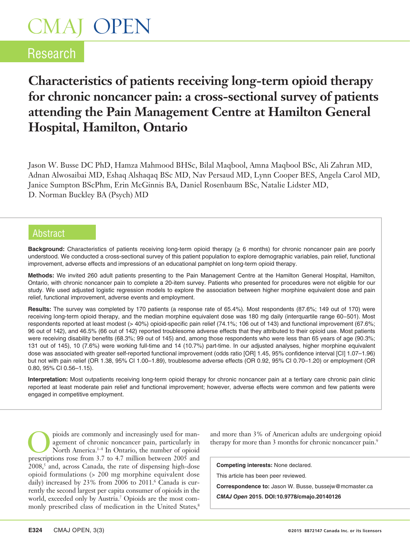# **Research**

# **Characteristics of patients receiving long-term opioid therapy for chronic noncancer pain: a cross-sectional survey of patients attending the Pain Management Centre at Hamilton General Hospital, Hamilton, Ontario**

Jason W. Busse DC PhD, Hamza Mahmood BHSc, Bilal Maqbool, Amna Maqbool BSc, Ali Zahran MD, Adnan Alwosaibai MD, Eshaq Alshaqaq BSc MD, Nav Persaud MD, Lynn Cooper BES, Angela Carol MD, Janice Sumpton BScPhm, Erin McGinnis BA, Daniel Rosenbaum BSc, Natalie Lidster MD, D. Norman Buckley BA (Psych) MD

# Abstract

**Background:** Characteristics of patients receiving long-term opioid therapy (≥ 6 months) for chronic noncancer pain are poorly understood. We conducted a cross-sectional survey of this patient population to explore demographic variables, pain relief, functional improvement, adverse effects and impressions of an educational pamphlet on long-term opioid therapy.

**Methods:** We invited 260 adult patients presenting to the Pain Management Centre at the Hamilton General Hospital, Hamilton, Ontario, with chronic noncancer pain to complete a 20-item survey. Patients who presented for procedures were not eligible for our study. We used adjusted logistic regression models to explore the association between higher morphine equivalent dose and pain relief, functional improvement, adverse events and employment.

**Results:** The survey was completed by 170 patients (a response rate of 65.4%). Most respondents (87.6%; 149 out of 170) were receiving long-term opioid therapy, and the median morphine equivalent dose was 180 mg daily (interquartile range 60−501). Most respondents reported at least modest (> 40%) opioid-specific pain relief (74.1%; 106 out of 143) and functional improvement (67.6%; 96 out of 142), and 46.5% (66 out of 142) reported troublesome adverse effects that they attributed to their opioid use. Most patients were receiving disability benefits (68.3%; 99 out of 145) and, among those respondents who were less than 65 years of age (90.3%; 131 out of 145), 10 (7.6%) were working full-time and 14 (10.7%) part-time. In our adjusted analyses, higher morphine equivalent dose was associated with greater self-reported functional improvement (odds ratio [OR] 1.45, 95% confidence interval [CI] 1.07–1.96) but not with pain relief (OR 1.38, 95% CI 1.00–1.89), troublesome adverse effects (OR 0.92, 95% CI 0.70–1.20) or employment (OR 0.80, 95% CI 0.56–1.15).

**Interpretation:** Most outpatients receiving long-term opioid therapy for chronic noncancer pain at a tertiary care chronic pain clinic reported at least moderate pain relief and functional improvement; however, adverse effects were common and few patients were engaged in competitive employment.

pioids are commonly and increasingly used for man-<br>
agement of chronic noncancer pain, particularly in<br>
North America.<sup>1-4</sup> In Ontario, the number of opioid<br>
prescriptions rose from 3.7 to 4.7 million between 2005 and agement of chronic noncancer pain, particularly in prescriptions rose from 3.7 to 4.7 million between 2005 and 2008,<sup>5</sup> and, across Canada, the rate of dispensing high-dose opioid formulations (> 200 mg morphine equivalent dose daily) increased by 23% from 2006 to 2011.<sup>6</sup> Canada is currently the second largest per capita consumer of opioids in the world, exceeded only by Austria.7 Opioids are the most commonly prescribed class of medication in the United States,<sup>8</sup>

and more than 3% of American adults are undergoing opioid therapy for more than 3 months for chronic noncancer pain.<sup>9</sup>

**Competing interests:** None declared.

This article has been peer reviewed.

**Correspondence to:** Jason W. Busse, bussejw@mcmaster.ca

*CMAJ Open* **2015. DOI:10.9778/cmajo.20140126**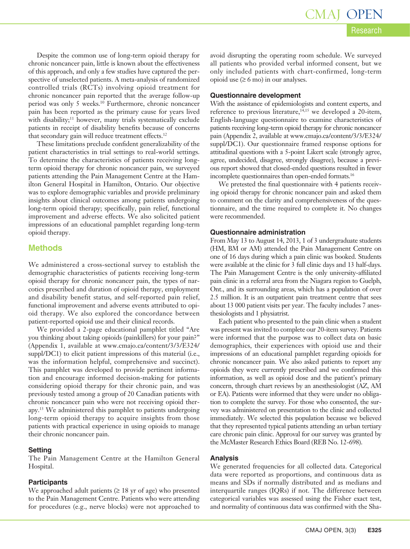Research CMAJ OPEN

Despite the common use of long-term opioid therapy for chronic noncancer pain, little is known about the effectiveness of this approach, and only a few studies have captured the perspective of unselected patients. A meta-analysis of randomized controlled trials (RCTs) involving opioid treatment for chronic noncancer pain reported that the average follow-up period was only 5 weeks.<sup>10</sup> Furthermore, chronic noncancer pain has been reported as the primary cause for years lived with disability;<sup>11</sup> however, many trials systematically exclude patients in receipt of disability benefits because of concerns that secondary gain will reduce treatment effects.<sup>12</sup>

These limitations preclude confident generalizability of the patient characteristics in trial settings to real-world settings. To determine the characteristics of patients receiving longterm opioid therapy for chronic noncancer pain, we surveyed patients attending the Pain Management Centre at the Hamilton General Hospital in Hamilton, Ontario. Our objective was to explore demographic variables and provide preliminary insights about clinical outcomes among patients undergoing long-term opioid therapy; specifically, pain relief, functional improvement and adverse effects. We also solicited patient impressions of an educational pamphlet regarding long-term opioid therapy.

#### **Methods**

We administered a cross-sectional survey to establish the demographic characteristics of patients receiving long-term opioid therapy for chronic noncancer pain, the types of narcotics prescribed and duration of opioid therapy, employment and disability benefit status, and self-reported pain relief, functional improvement and adverse events attributed to opioid therapy. We also explored the concordance between patient-reported opioid use and their clinical records.

We provided a 2-page educational pamphlet titled "Are you thinking about taking opioids (painkillers) for your pain?" [\(Appendix 1, available at www.cmajo.ca/content/3/3/E324/](http://www.cmajopen.ca/content/3/3/E324/suppl/DC1) suppl/DC1) to elicit patient impressions of this material (i.e., was the information helpful, comprehensive and succinct). This pamphlet was developed to provide pertinent information and encourage informed decision-making for patients considering opioid therapy for their chronic pain, and was previously tested among a group of 20 Canadian patients with chronic noncancer pain who were not receiving opioid therapy.13 We administered this pamphlet to patients undergoing long-term opioid therapy to acquire insights from those patients with practical experience in using opioids to manage their chronic noncancer pain.

### **Setting**

The Pain Management Centre at the Hamilton General Hospital.

### **Participants**

We approached adult patients  $(≥ 18$  yr of age) who presented to the Pain Management Centre. Patients who were attending for procedures (e.g., nerve blocks) were not approached to

avoid disrupting the operating room schedule. We surveyed all patients who provided verbal informed consent, but we only included patients with chart-confirmed, long-term opioid use  $(≥ 6$  mo) in our analyses.

# **Questionnaire development**

With the assistance of epidemiologists and content experts, and reference to previous literature,<sup>14,15</sup> we developed a 20-item, English-language questionnaire to examine characteristics of patients receiving long-term opioid therapy for chronic noncancer pain (Appendix 2, available at www.cmajo.ca/content/3/3/E324/ [suppl/DC1\). Our questionnaire framed response options for](http://www.cmajopen.ca/content/3/3/E324/suppl/DC1)  attitudinal questions with a 5-point Likert scale (strongly agree, agree, undecided, disagree, strongly disagree), because a previous report showed that closed-ended questions resulted in fewer incomplete questionnaires than open-ended formats.16

We pretested the final questionnaire with 4 patients receiving opioid therapy for chronic noncancer pain and asked them to comment on the clarity and comprehensiveness of the questionnaire, and the time required to complete it. No changes were recommended.

# **Questionnaire administration**

From May 13 to August 14, 2013, 1 of 3 undergraduate students (HM, BM or AM) attended the Pain Management Centre on one of 16 days during which a pain clinic was booked. Students were available at the clinic for 3 full clinic days and 13 half-days. The Pain Management Centre is the only university-affiliated pain clinic in a referral area from the Niagara region to Guelph, Ont., and its surrounding areas, which has a population of over 2.5 million. It is an outpatient pain treatment centre that sees about 13 000 patient visits per year. The faculty includes 7 anesthesiologists and 1 physiatrist.

Each patient who presented to the pain clinic when a student was present was invited to complete our 20-item survey. Patients were informed that the purpose was to collect data on basic demographics, their experiences with opioid use and their impressions of an educational pamphlet regarding opioids for chronic noncancer pain. We also asked patients to report any opioids they were currently prescribed and we confirmed this information, as well as opioid dose and the patient's primary concern, through chart reviews by an anesthesiologist (AZ, AM or EA). Patients were informed that they were under no obligation to complete the survey. For those who consented, the survey was administered on presentation to the clinic and collected immediately. We selected this population because we believed that they represented typical patients attending an urban tertiary care chronic pain clinic. Approval for our survey was granted by the McMaster Research Ethics Board (REB No. 12-698).

#### **Analysis**

We generated frequencies for all collected data. Categorical data were reported as proportions, and continuous data as means and SDs if normally distributed and as medians and interquartile ranges (IQRs) if not. The difference between categorical variables was assessed using the Fisher exact test, and normality of continuous data was confirmed with the Sha-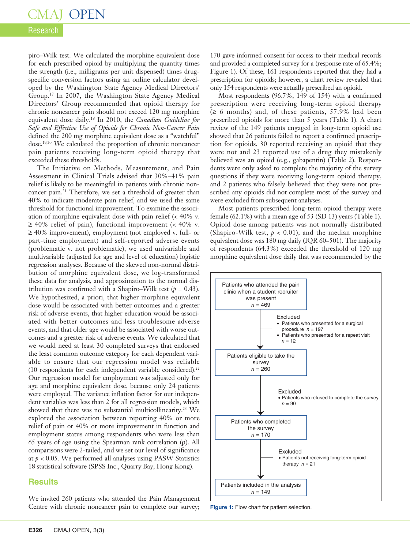### Research

piro–Wilk test. We calculated the morphine equivalent dose for each prescribed opioid by multiplying the quantity times the strength (i.e., milligrams per unit dispensed) times drugspecific conversion factors using an online calculator developed by the Washington State Agency Medical Directors' Group.17 In 2007, the Washington State Agency Medical Directors' Group recommended that opioid therapy for chronic noncancer pain should not exceed 120 mg morphine equivalent dose daily.18 In 2010, the *Canadian Guideline for Safe and Effective Use of Opioids for Chronic Non-Cancer Pain* defined the 200 mg morphine equivalent dose as a "watchful" dose.19,20 We calculated the proportion of chronic noncancer pain patients receiving long-term opioid therapy that exceeded these thresholds.

The Initiative on Methods, Measurement, and Pain Assessment in Clinical Trials advised that 30%−41% pain relief is likely to be meaningful in patients with chronic noncancer pain.<sup>21</sup> Therefore, we set a threshold of greater than 40% to indicate moderate pain relief, and we used the same threshold for functional improvement. To examine the association of morphine equivalent dose with pain relief (< 40% v.  $\geq 40\%$  relief of pain), functional improvement (< 40% v. ≥ 40% improvement), employment (not employed v. full- or part-time employment) and self-reported adverse events (problematic v. not problematic), we used univariable and multivariable (adjusted for age and level of education) logistic regression analyses. Because of the skewed non-normal distribution of morphine equivalent dose, we log-transformed these data for analysis, and approximation to the normal distribution was confirmed with a Shapiro–Wilk test  $(p = 0.43)$ . We hypothesized, a priori, that higher morphine equivalent dose would be associated with better outcomes and a greater risk of adverse events, that higher education would be associated with better outcomes and less troublesome adverse events, and that older age would be associated with worse outcomes and a greater risk of adverse events. We calculated that we would need at least 30 completed surveys that endorsed the least common outcome category for each dependent variable to ensure that our regression model was reliable (10 respondents for each independent variable considered). $22$ Our regression model for employment was adjusted only for age and morphine equivalent dose, because only 24 patients were employed. The variance inflation factor for our independent variables was less than 2 for all regression models, which showed that there was no substantial multicollinearity.<sup>23</sup> We explored the association between reporting 40% or more relief of pain or 40% or more improvement in function and employment status among respondents who were less than 65 years of age using the Spearman rank correlation (ρ). All comparisons were 2-tailed, and we set our level of significance at  $p < 0.05$ . We performed all analyses using PASW Statistics 18 statistical software (SPSS Inc., Quarry Bay, Hong Kong).

### **Results**

We invited 260 patients who attended the Pain Management Centre with chronic noncancer pain to complete our survey; 170 gave informed consent for access to their medical records and provided a completed survey for a (response rate of 65.4%; Figure 1). Of these, 161 respondents reported that they had a prescription for opioids; however, a chart review revealed that only 154 respondents were actually prescribed an opioid.

Most respondents (96.7%, 149 of 154) with a confirmed prescription were receiving long-term opioid therapy  $(≥ 6 months)$  and, of these patients, 57.9% had been prescribed opioids for more than 5 years (Table 1). A chart review of the 149 patients engaged in long-term opioid use showed that 26 patients failed to report a confirmed prescription for opioids, 30 reported receiving an opioid that they were not and 23 reported use of a drug they mistakenly believed was an opioid (e.g., gabapentin) (Table 2). Respondents were only asked to complete the majority of the survey questions if they were receiving long-term opioid therapy, and 2 patients who falsely believed that they were not prescribed any opioids did not complete most of the survey and were excluded from subsequent analyses.

Most patients prescribed long-term opioid therapy were female (62.1%) with a mean age of 53 (SD 13) years (Table 1). Opioid dose among patients was not normally distributed (Shapiro-Wilk test,  $p < 0.01$ ), and the median morphine equivalent dose was 180 mg daily (IQR 60−501). The majority of respondents (64.3%) exceeded the threshold of 120 mg morphine equivalent dose daily that was recommended by the



**Figure 1:** Flow chart for patient selection.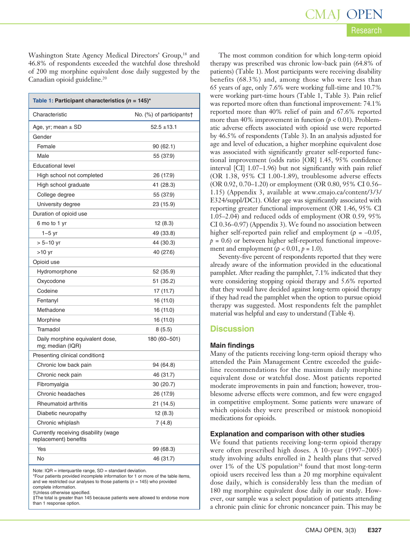Washington State Agency Medical Directors' Group,<sup>18</sup> and 46.8% of respondents exceeded the watchful dose threshold of 200 mg morphine equivalent dose daily suggested by the Canadian opioid guideline.<sup>20</sup>

| Table 1: Participant characteristics ( $n = 145$ )*           |                          |  |  |  |
|---------------------------------------------------------------|--------------------------|--|--|--|
| Characteristic                                                | No. (%) of participants† |  |  |  |
| Age, yr; mean ± SD                                            | $52.5 \pm 13.1$          |  |  |  |
| Gender                                                        |                          |  |  |  |
| Female                                                        | 90 (62.1)                |  |  |  |
| Male                                                          | 55 (37.9)                |  |  |  |
| <b>Educational level</b>                                      |                          |  |  |  |
| High school not completed                                     | 26 (17.9)                |  |  |  |
| High school graduate                                          | 41 (28.3)                |  |  |  |
| College degree                                                | 55 (37.9)                |  |  |  |
| University degree                                             | 23 (15.9)                |  |  |  |
| Duration of opioid use                                        |                          |  |  |  |
| 6 mo to 1 yr                                                  | 12 (8.3)                 |  |  |  |
| $1-5$ yr                                                      | 49 (33.8)                |  |  |  |
| $> 5 - 10$ yr                                                 | 44 (30.3)                |  |  |  |
| $>10$ yr                                                      | 40 (27.6)                |  |  |  |
| Opioid use                                                    |                          |  |  |  |
| Hydromorphone                                                 | 52 (35.9)                |  |  |  |
| Oxycodone                                                     | 51 (35.2)                |  |  |  |
| Codeine                                                       | 17 (11.7)                |  |  |  |
| Fentanyl                                                      | 16 (11.0)                |  |  |  |
| Methadone                                                     | 16 (11.0)                |  |  |  |
| Morphine                                                      | 16 (11.0)                |  |  |  |
| Tramadol                                                      | 8(5.5)                   |  |  |  |
| Daily morphine equivalent dose,<br>mg; median (IQR)           | 180 (60-501)             |  |  |  |
| Presenting clinical condition‡                                |                          |  |  |  |
| Chronic low back pain                                         | 94 (64.8)                |  |  |  |
| Chronic neck pain                                             | 46 (31.7)                |  |  |  |
| Fibromyalgia                                                  | 30 (20.7)                |  |  |  |
| Chronic headaches                                             | 26 (17.9)                |  |  |  |
| Rheumatoid arthritis                                          | 21 (14.5)                |  |  |  |
| Diabetic neuropathy                                           | 12 (8.3)                 |  |  |  |
| Chronic whiplash                                              | 7 (4.8)                  |  |  |  |
| Currently receiving disability (wage<br>replacement) benefits |                          |  |  |  |
| Yes                                                           | 99 (68.3)                |  |  |  |
| No                                                            | 46 (31.7)                |  |  |  |

Note: IQR = interquartile range, SD = standard deviation.

\*Four patients provided incomplete information for 1 or more of the table items, and we restricted our analyses to those patients ( $n = 145$ ) who provided complete information.

†Unless otherwise specified.

‡The total is greater than 145 because patients were allowed to endorse more than 1 response option.

The most common condition for which long-term opioid therapy was prescribed was chronic low-back pain (64.8% of patients) (Table 1). Most participants were receiving disability benefits (68.3%) and, among those who were less than 65 years of age, only 7.6% were working full-time and 10.7% were working part-time hours (Table 1, Table 3). Pain relief was reported more often than functional improvement: 74.1% reported more than 40% relief of pain and 67.6% reported more than 40% improvement in function (*p* < 0.01). Problematic adverse effects associated with opioid use were reported by 46.5% of respondents (Table 3). In an analysis adjusted for age and level of education, a higher morphine equivalent dose was associated with significantly greater self-reported functional improvement (odds ratio [OR] 1.45, 95% confidence interval [CI] 1.07–1.96) but not significantly with pain relief (OR 1.38, 95% CI 1.00-1.89), troublesome adverse effects (OR 0.92, 0.70–1.20) or employment (OR 0.80, 95% CI 0.56– 1.15) (Appendix 3, available at www.cmajo.ca/content/3/3/ [E324/suppl/DC1\). Older age was significantly associated with](http://www.cmajopen.ca/content/3/3/E324/suppl/DC1)  reporting greater functional improvement (OR 1.46, 95% CI 1.05–2.04) and reduced odds of employment (OR 0.59, 95% CI 0.36–0.97) (Appendix 3). We found no association between higher self-reported pain relief and employment ( $\rho = -0.05$ ,  $p = 0.6$ ) or between higher self-reported functional improvement and employment ( $\rho < 0.01$ ,  $p = 1.0$ ).

Seventy-five percent of respondents reported that they were already aware of the information provided in the educational pamphlet. After reading the pamphlet, 7.1% indicated that they were considering stopping opioid therapy and 5.6% reported that they would have decided against long-term opioid therapy if they had read the pamphlet when the option to pursue opioid therapy was suggested. Most respondents felt the pamphlet material was helpful and easy to understand (Table 4).

#### **Discussion**

#### **Main findings**

Many of the patients receiving long-term opioid therapy who attended the Pain Management Centre exceeded the guideline recommendations for the maximum daily morphine equivalent dose or watchful dose. Most patients reported moderate improvements in pain and function; however, troublesome adverse effects were common, and few were engaged in competitive employment. Some patients were unaware of which opioids they were prescribed or mistook nonopioid medications for opioids.

#### **Explanation and comparison with other studies**

We found that patients receiving long-term opioid therapy were often prescribed high doses. A 10-year (1997–2005) study involving adults enrolled in 2 health plans that served over 1% of the US population<sup>24</sup> found that most long-term opioid users received less than a 20 mg morphine equivalent dose daily, which is considerably less than the median of 180 mg morphine equivalent dose daily in our study. However, our sample was a select population of patients attending a chronic pain clinic for chronic noncancer pain. This may be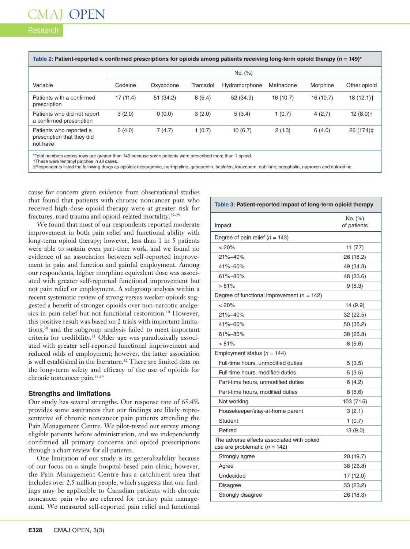### Research

| Table 2: Patient-reported v. confirmed prescriptions for opioids among patients receiving long-term opioid therapy ( $n = 149$ )* |          |           |          |               |           |          |                        |
|-----------------------------------------------------------------------------------------------------------------------------------|----------|-----------|----------|---------------|-----------|----------|------------------------|
|                                                                                                                                   | No. (%)  |           |          |               |           |          |                        |
| Variable                                                                                                                          | Codeine  | Oxycodone | Tramadol | Hydromorphone | Methadone | Morphine | Other opioid           |
| Patients with a confirmed<br>prescription                                                                                         | 17(11.4) | 51(34.2)  | 8(5.4)   | 52 (34.9)     | 16(10.7)  | 16(10.7) | 18(12.1)               |
| Patients who did not report<br>a confirmed prescription                                                                           | 3(2.0)   | 0(0.0)    | 3(2.0)   | 5(3.4)        | 1(0.7)    | 4(2.7)   | $12(8.0)$ <sup>+</sup> |
| Patients who reported a<br>prescription that they did<br>not have                                                                 | 6(4.0)   | 7(4.7)    | 1(0.7)   | 10(6.7)       | 2(1.3)    | 6(4.0)   | 26 (17.4) ‡            |

\*Total numbers across rows are greater than 149 because some patients were prescribed more than 1 opioid.

†These were fentanyl patches in all cases.

‡Respondents listed the following drugs as opioids: desipramine, nortriptyline, gabapentin, baclofen, lorazepam, nabilone, pregabalin, naproxen and duloxetine.

cause for concern given evidence from observational studies that found that patients with chronic noncancer pain who received high-dose opioid therapy were at greater risk for fractures, road trauma and opioid-related mortality.25–29

We found that most of our respondents reported moderate improvement in both pain relief and functional ability with long-term opioid therapy; however, less than 1 in 5 patients were able to sustain even part-time work, and we found no evidence of an association between self-reported improvement in pain and function and gainful employment. Among our respondents, higher morphine equivalent dose was associated with greater self-reported functional improvement but not pain relief or employment. A subgroup analysis within a recent systematic review of strong versus weaker opioids suggested a benefit of stronger opioids over non-narcotic analgesics in pain relief but not functional restoration.<sup>10</sup> However, this positive result was based on 2 trials with important limitations,30 and the subgroup analysis failed to meet important criteria for credibility.31 Older age was paradoxically associated with greater self-reported functional improvement and reduced odds of employment; however, the latter association is well established in the literature.<sup>32</sup> There are limited data on the long-term safety and efficacy of the use of opioids for chronic noncancer pain.33,34

#### **Strengths and limitations**

Our study has several strengths. Our response rate of 65.4% provides some assurances that our findings are likely representative of chronic noncancer pain patients attending the Pain Management Centre. We pilot-tested our survey among eligible patients before administration, and we independently confirmed all primary concerns and opioid prescriptions through a chart review for all patients.

One limitation of our study is its generalizability because of our focus on a single hospital-based pain clinic; however, the Pain Management Centre has a catchment area that includes over 2.5 million people, which suggests that our findings may be applicable to Canadian patients with chronic noncancer pain who are referred for tertiary pain management. We measured self-reported pain relief and functional

| Table 3: Patient-reported impact of long-term opioid therapy                    |                        |  |  |  |
|---------------------------------------------------------------------------------|------------------------|--|--|--|
| Impact                                                                          | No. (%)<br>of patients |  |  |  |
| Degree of pain relief ( $n = 143$ )                                             |                        |  |  |  |
| < 20%                                                                           | 11(7.7)                |  |  |  |
| 21%-40%                                                                         | 26 (18.2)              |  |  |  |
| 41%-60%                                                                         | 49 (34.3)              |  |  |  |
| 61%-80%                                                                         | 48 (33.6)              |  |  |  |
| > 81%                                                                           | 9(6.3)                 |  |  |  |
| Degree of functional improvement ( $n = 142$ )                                  |                        |  |  |  |
| < 20%                                                                           | 14 (9.9)               |  |  |  |
| $21\% - 40\%$                                                                   | 32 (22.5)              |  |  |  |
| 41%-60%                                                                         | 50 (35.2)              |  |  |  |
| 61%-80%                                                                         | 38 (26.8)              |  |  |  |
| > 81%                                                                           | 8(5.6)                 |  |  |  |
| Employment status ( $n = 144$ )                                                 |                        |  |  |  |
| Full-time hours, unmodified duties                                              | 5(3.5)                 |  |  |  |
| Full-time hours, modified duties                                                | 5(3.5)                 |  |  |  |
| Part-time hours, unmodified duties                                              | 6(4.2)                 |  |  |  |
| Part-time hours, modified duties                                                | 8(5.6)                 |  |  |  |
| Not working                                                                     | 103 (71.5)             |  |  |  |
| Housekeeper/stay-at-home parent                                                 | 3(2.1)                 |  |  |  |
| Student                                                                         | 1(0.7)                 |  |  |  |
| Retired                                                                         | 13(9.0)                |  |  |  |
| The adverse effects associated with opioid<br>use are problematic ( $n = 142$ ) |                        |  |  |  |
| Strongly agree                                                                  | 28 (19.7)              |  |  |  |
| Agree                                                                           | 38 (26.8)              |  |  |  |
| Undecided                                                                       | 17 (12.0)              |  |  |  |
| <b>Disagree</b>                                                                 | 33 (23.2)              |  |  |  |
| Strongly disagree                                                               | 26 (18.3)              |  |  |  |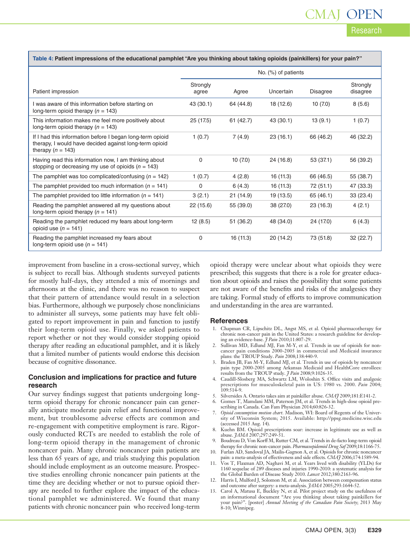|                                                                                                                                            | No. (%) of patients |           |           |           |                      |  |
|--------------------------------------------------------------------------------------------------------------------------------------------|---------------------|-----------|-----------|-----------|----------------------|--|
| Patient impression                                                                                                                         | Strongly<br>agree   | Agree     | Uncertain | Disagree  | Strongly<br>disagree |  |
| I was aware of this information before starting on<br>long-term opioid therapy ( $n = 143$ )                                               | 43 (30.1)           | 64 (44.8) | 18 (12.6) | 10(7.0)   | 8(5.6)               |  |
| This information makes me feel more positively about<br>long-term opioid therapy ( $n = 143$ )                                             | 25 (17.5)           | 61(42.7)  | 43(30.1)  | 13(9.1)   | 1(0.7)               |  |
| If I had this information before I began long-term opioid<br>therapy, I would have decided against long-term opioid<br>therapy $(n = 143)$ | 1(0.7)              | 7(4.9)    | 23(16.1)  | 66 (46.2) | 46 (32.2)            |  |
| Having read this information now, I am thinking about<br>stopping or decreasing my use of opioids ( $n = 143$ )                            | 0                   | 10(7.0)   | 24 (16.8) | 53 (37.1) | 56 (39.2)            |  |
| The pamphlet was too complicated/confusing $(n = 142)$                                                                                     | 1(0.7)              | 4(2.8)    | 16 (11.3) | 66 (46.5) | 55 (38.7)            |  |
| The pamphlet provided too much information ( $n = 141$ )                                                                                   | 0                   | 6(4.3)    | 16 (11.3) | 72 (51.1) | 47 (33.3)            |  |
| The pamphlet provided too little information ( $n = 141$ )                                                                                 | 3(2.1)              | 21(14.9)  | 19 (13.5) | 65 (46.1) | 33 (23.4)            |  |
| Reading the pamphlet answered all my questions about<br>long-term opioid therapy ( $n = 141$ )                                             | 22(15.6)            | 55 (39.0) | 38 (27.0) | 23(16.3)  | 4(2.1)               |  |
| Reading the pamphlet reduced my fears about long-term<br>opioid use $(n = 141)$                                                            | 12(8.5)             | 51 (36.2) | 48 (34.0) | 24 (17.0) | 6(4.3)               |  |
| Reading the pamphlet increased my fears about<br>long-term opioid use $(n = 141)$                                                          | 0                   | 16 (11.3) | 20(14.2)  | 73 (51.8) | 32 (22.7)            |  |

**Table 4: Patient impressions of the educational pamphlet "Are you thinking about taking opioids (painkillers) for your pain?"**

improvement from baseline in a cross-sectional survey, which is subject to recall bias. Although students surveyed patients for mostly half-days, they attended a mix of mornings and afternoons at the clinic, and there was no reason to suspect that their pattern of attendance would result in a selection bias. Furthermore, although we purposely chose nonclinicians to administer all surveys, some patients may have felt obligated to report improvement in pain and function to justify their long-term opioid use. Finally, we asked patients to report whether or not they would consider stopping opioid therapy after reading an educational pamphlet, and it is likely that a limited number of patients would endorse this decision because of cognitive dissonance.

#### **Conclusion and implications for practice and future research**

Our survey findings suggest that patients undergoing longterm opioid therapy for chronic noncancer pain can generally anticipate moderate pain relief and functional improvement, but troublesome adverse effects are common and re-engagement with competitive employment is rare. Rigorously conducted RCTs are needed to establish the role of long-term opioid therapy in the management of chronic noncancer pain. Many chronic noncancer pain patients are less than 65 years of age, and trials studying this population should include employment as an outcome measure. Prospective studies enrolling chronic noncancer pain patients at the time they are deciding whether or not to pursue opioid therapy are needed to further explore the impact of the educational pamphlet we administered. We found that many patients with chronic noncancer pain who received long-term

opioid therapy were unclear about what opioids they were prescribed; this suggests that there is a role for greater education about opioids and raises the possibility that some patients are not aware of the benefits and risks of the analgesics they are taking. Formal study of efforts to improve communication and understanding in the area are warranted.

#### **References**

- 1. Chapman CR, Lipschitz DL, Angst MS, et al. Opioid pharmacotherapy for chronic non-cancer pain in the United States: a research guideline for developing an evidence-base. *J Pain* 2010;11:807-29.
- 2. Sullivan MD, Edlund MJ, Fan M-Y, et al. Trends in use of opioids for noncancer pain conditions 2000-2005 in commercial and Medicaid insurance plans: the TROUP Study. *Pain* 2008;138:440-9.
- 3. Braden JB, Fan M-Y, Edlund MJ, et al. Trends in use of opioids by noncancer pain type 2000-2005 among Arkansas Medicaid and HealthCore enrollees: results from the TROUP study. *J Pain* 2008;9:1026-35.
- 4. Caudill-Slosberg MA, Schwartz LM, Woloshin S. Office visits and analgesic prescriptions for musculoskeletal pain in US: 1980 vs. 2000. *Pain* 2004; 109:514-9.
- 5. Silversides A. Ontario takes aim at painkiller abuse. *CMAJ* 2009;181:E141-2.
- 6. Gomes T, Mamdani MM, Paterson JM, et al. Trends in high-dose opioid prescribing in Canada. Can Fam Physician 2014;60:826-32.
- 7. *Opioid consumption motion chart.* Madison, WI: Board of Regents of the University of Wisconsin System; 2015. Available: http://ppsg.medicine.wisc.edu (accessed 2015 Aug. 14).
- 8. Kuehn BM. Opioid prescriptions soar: increase in legitimate use as well as abuse. *JAMA* 2007;297:249-51.
- 9. Boudreau D, Von Korff M, Rutter CM, et al. Trends in de-facto long-term opioid therapy for chronic non-cancer pain. *Pharmacoepidemiol Drug Saf* 2009;18:1166-75.
- 10. Furlan AD, Sandoval JA, Mailis-Gagnon A, et al. Opioids for chronic noncancer pain: a meta-analysis of effectiveness and side effects. *CMAJ* 2006;174:1589-94.
- 11. Vos T, Flaxman AD, Naghavi M, et al. Years lived with disability (YLDs) for 1160 sequelae of 289 diseases and injuries 1990-2010: a systematic analysis for the Global Burden of Disease Study 2010. *Lancet* 2012;380:2163-96.
- 12. Harris I, Mulford J, Solomon M, et al. Association between compensation status and outcome after surgery: a meta-analysis. *JAMA* 2005;293:1644-52.
- 13. Carol A, Matusa E, Buckley N, et al. Pilot project study on the usefulness of an informational document "Are you thinking about taking painkillers for your pain?". [poster] *Annual Meeting of the Canadian Pain Society*; 2013 May 8-10; Winnipeg.